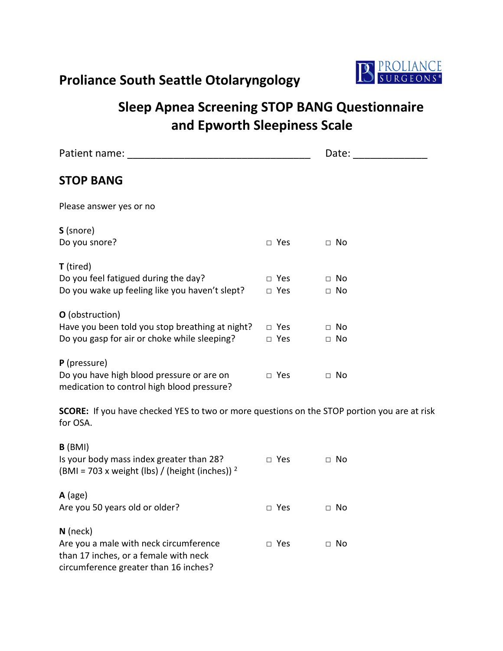## **Proliance South Seattle Otolaryngology**



## **Sleep Apnea Screening STOP BANG Questionnaire and Epworth Sleepiness Scale**

| Patient name:                                                                                                      |                                | Date:                  |  |
|--------------------------------------------------------------------------------------------------------------------|--------------------------------|------------------------|--|
| <b>STOP BANG</b>                                                                                                   |                                |                        |  |
| Please answer yes or no                                                                                            |                                |                        |  |
| S (snore)<br>Do you snore?                                                                                         | $\square$ Yes                  | $\Box$ No              |  |
| <b>T</b> (tired)<br>Do you feel fatigued during the day?<br>Do you wake up feeling like you haven't slept?         | $\Box$ Yes<br>□ Yes            | $\Box$ No<br>$\Box$ No |  |
| O (obstruction)<br>Have you been told you stop breathing at night?<br>Do you gasp for air or choke while sleeping? | $\square$ Yes<br>$\square$ Yes | $\Box$ No<br>$\Box$ No |  |
| P (pressure)<br>Do you have high blood pressure or are on<br>medication to control high blood pressure?            | $\square$ Yes                  | $\Box$ No              |  |
| SCORE: If you have checked YES to two or more questions on the STOP portion you are at risk<br>for OSA.            |                                |                        |  |
| $B$ (BMI)<br>Is your body mass index greater than 28?<br>(BMI = 703 x weight (lbs) / (height (inches)) $^2$        | $\square$ Yes                  | $\Box$ No              |  |
| $A$ (age)<br>Are you 50 years old or older?                                                                        | $\square$ Yes                  | $\Box$ No              |  |
| $N$ (neck)                                                                                                         |                                |                        |  |

Are you a male with neck circumference  $\Box$  Yes  $\Box$  No than 17 inches, or a female with neck

circumference greater than 16 inches?